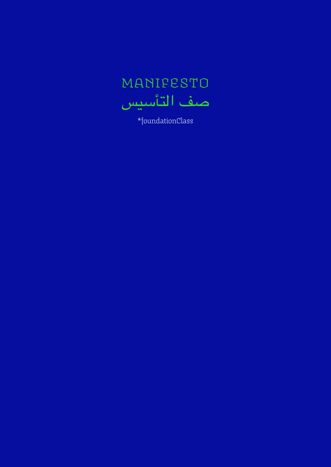

\*foundationClass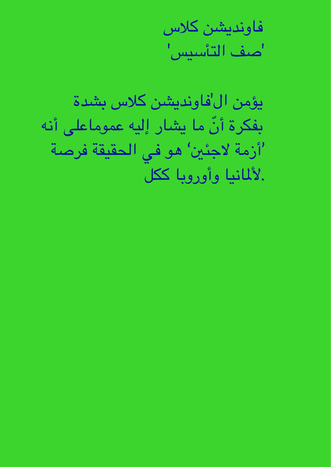فاونديشن كالس 'صف التأسيس'

يؤمن ال'فاونديشن كالس بشدة ّ بفكرة أن ما يشار إليه معوماعىل أنه 'أزمة لاجئين' هو في الحقيقة فرصة .ألملانيا وأوروبا كلك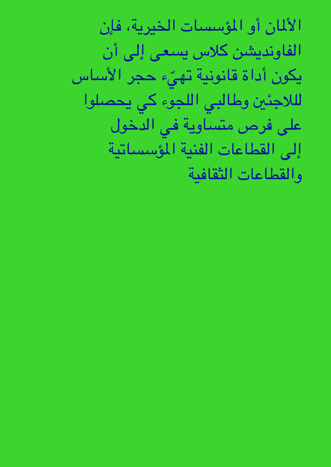الألمان أو المؤسسات الخيرية، فإن الفاونديشن كلاس يسعى إلى أن ّ يكون أداة قانونية هتيء جحر األساس لللاجئين وطالبي اللجوء كى يحصلوا على فرص متساوية في الدخول إىل القطاعات الفنية املؤسساتية والقطاعات الثقافية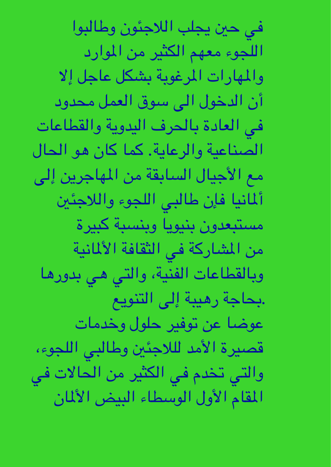في حين يجلب اللاجئون وطالبوا اللجوء معهم الكثير من الموارد والمهارات المرغوبة بشكل عاجل إلا أن الدخول الى سوق العمل محدود في العادة بالحرف اليدوية والقطاعات الصناعية والرعاية. كما كان هو الحال مع الأجيال السابقة من المهاجرين إلى أملانيا فإن طاليب اللجوء والالجئني مستبعدون بنيويا وبنسبة كبرية من المشاركة في الثقافة الألمانية وبالقطاعات الفنية، واليت يه بدورها .حباجة رهيبة إىل التنويع عوضا عن توفير حلول وخدمات قصرية األمد للالجئني وطاليب اللجوء، والتي تخدم في الكثير من الحالات في المقام الأول الوسطاء البيض الألمان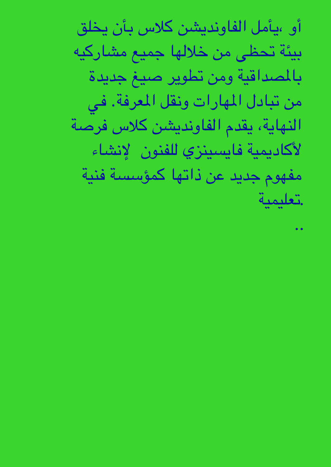أو ،يأمل الفاونديشن كالس بأن خيلق بيئة حتظى من خالهلا مجيع مشاركيه باملصداقية ومن تطوير صيغ جديدة من تبادل المهارات ونقل المعرفة. في الهناية، يقدم الفاونديشن كالس فرصة لأكاديمية فايسينزي للفنون إلانشاء مفهوم جديد عن ذاهتا مكؤسسة فنية .تعلميية

..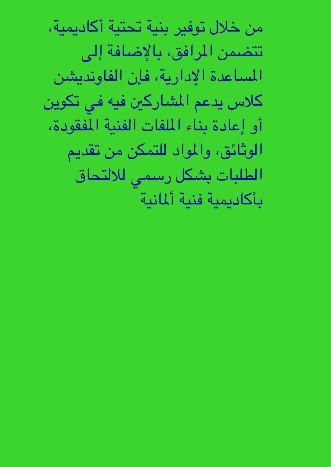من خلال توفير بنية تحتية أكاديمية، تتضمن المرافق، بالإضافة إلى املساعدة اإلدارية، فإن الفاونديشن كلاس يدعم المشاركين فيه في تكوين أو إعادة بناء امللفات الفنية املفقودة، الوثائق، والمواد للتمكن من تقديم الطلبات بشكل رسمي للالتحاق بأكاديمية فنية ألمانية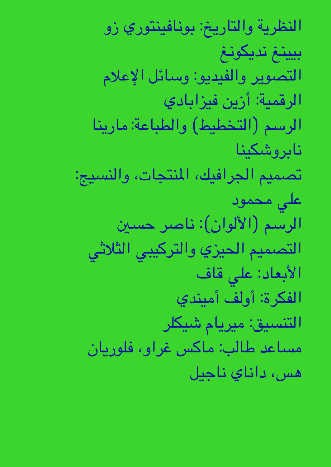النظرية والتارخي: بونافينتوري زو بيينغ نديكونغ التصوير والفيديو: وسائل اإلعالم الرقمية: أزين فيزابادي الرسم (التخطيط) والطباعة: مارينا نابروشكينا تصميم الجرافيك، المنتجات، والنسيج: على محمود الرسم (الألوان): ناصر حسين التصميم الحيزي والتركيبي الثلاثى األبعاد: عيل قاف الفكرة: أولف أميندي التنسيق: مرييام شيلكر مساعد طالب: ماكس غراو، فلوريان هس، داناي ناجيل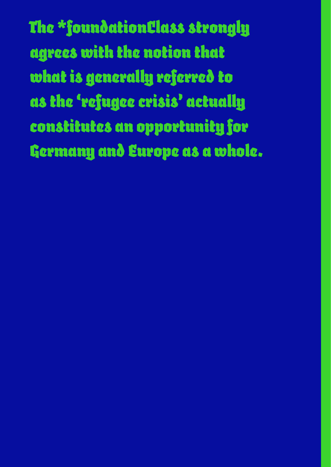*The \*foundationClass strongly agrees with the notion that what is generally referred to as the 'refugee crisis' actually constitutes an opportunity for Germany and Europe as a whole.*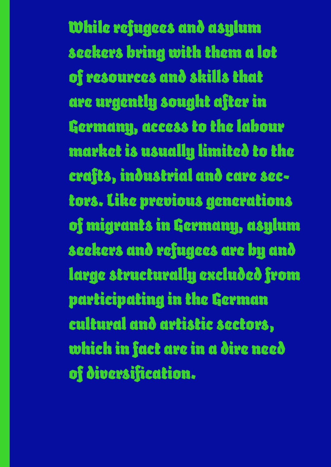*While refugees and asylum seekers bring with them a lot of resources and skills that are urgently sought after in Germany, access to the labour market is usually limited to the crafts, industrial and care sectors. Like previous generations of migrants in Germany, asylum seekers and refugees are by and large structurally excluded from participating in the German cultural and artistic sectors, which in fact are in a dire need of diversification.*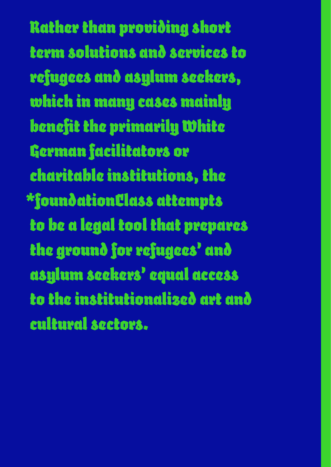*Rather than providing short term solutions and services to refugees and asylum seekers, which in many cases mainly benefit the primarily White German facilitators or charitable institutions, the \*foundationClass attempts to be a legal tool that prepares the ground for refugees' and asylum seekers' equal access to the institutionalized art and cultural sectors.*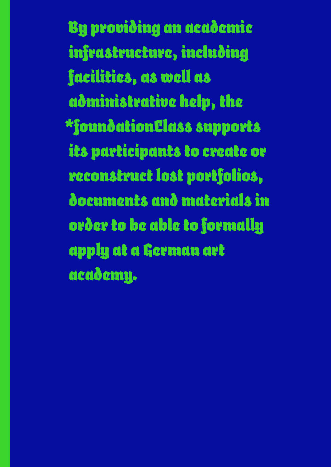*By providing an academic infrastructure, including facilities, as well as administrative help, the \*foundationClass supports its participants to create or reconstruct lost portfolios, documents and materials in order to be able to formally apply at a German art academy.*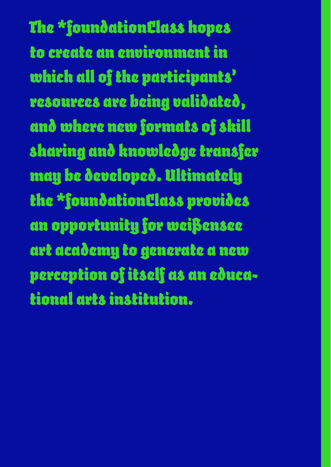*The \*foundationClass hopes to create an environment in which all of the participants' resources are being validated, and where new formats of skill sharing and knowledge transfer may be developed. Ultimately the \*foundationClass provides an opportunity for weißensee art academy to generate a new perception of itself as an educational arts institution.*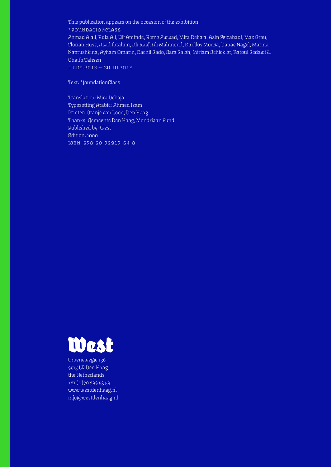This publication appears on the occasion of the exhibition:

\*foundationclass

Ahmad Alali, Rula Ali, Ulf Aminde, Reme Awwad, Mira Debaja, Azin Feizabadi, Max Grau, Florian Huss, Azad Ibrahim, Ali Kaaf, Ali Mahmoud, Kirollos Mousa, Danae Nagel, Marina Naprushkina, Ayham Omarin, Dachil Sado, Sara Saleh, Miriam Schickler, Batoul Sedawi & Ghaith Tahsen

17.09.2016 — 30.10.2016

Text: \*foundationClass

Translation: Mira Debaja Typesetting Arabic: Ahmed Isam Printer: Oranje van Loon, Den Haag Thanks: Gemeente Den Haag, Mondriaan Fund Published by: West Edition: 1000 isbn: 978-90-79917-64-8



Groenewegje 136 2515 LR Den Haag the Netherlands +31 (0)70 392 53 59 www.westdenhaag.nl info@westdenhaag.nl